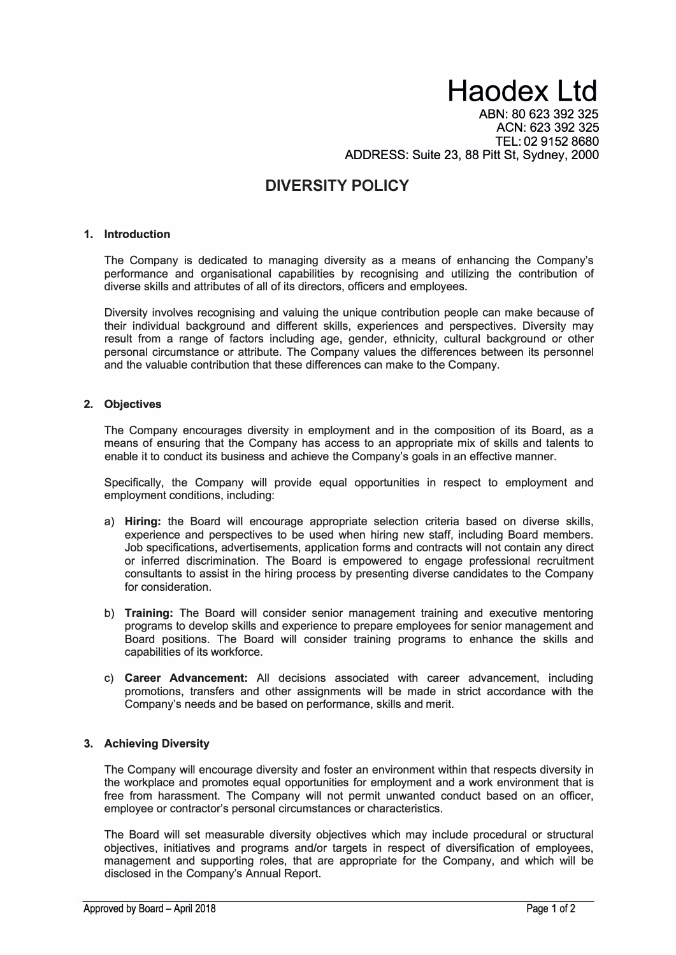# **Haodex Ltd**

ABN: 80 623 392 325 ACN: 623 392 325 TEL: 02 9152 8680 ADDRESS: Suite 23, 88 Pitt St, Sydney, 2000

# **DIVERSITY POLICY**

#### **1. Introduction**

The Company is dedicated to managing diversity as a means of enhancing the Company's performance and organisational capabilities by recognising and utilizing the contribution of diverse skills and attributes of all of its directors, officers and employees.

Diversity involves recognising and valuing the unique contribution people can make because of their individual background and different skills, experiences and perspectives. Diversity may result from a range of factors including age, gender, ethnicity, cultural background or other personal circumstance or attribute. The Company values the differences between its personnel and the valuable contribution that these differences can make to the Company.

#### **2. Objectives**

The Company encourages diversity in employment and in the composition of its Board, as a means of ensuring that the Company has access to an appropriate mix of skills and talents to enable it to conduct its business and achieve the Company's goals in an effective manner.

Specifically, the Company will provide equal opportunities in respect to employment and employment conditions, including:

- a) **Hiring:** the Board will encourage appropriate selection criteria based on diverse skills, experience and perspectives to be used when hiring new staff, including Board members. Job specifications, advertisements, application forms and contracts will not contain any direct or inferred discrimination. The Board is empowered to engage professional recruitment consultants to assist in the hiring process by presenting diverse candidates to the Company for consideration.
- b) **Training:** The Board will consider senior management training and executive mentoring programs to develop skills and experience to prepare employees for senior management and Board positions. The Board will consider training programs to enhance the skills and capabilities of its workforce.
- c) **Career Advancement:** All decisions associated with career advancement, including promotions, transfers and other assignments will be made in strict accordance with the Company's needs and be based on performance, skills and merit.

## **3. Achieving Diversity**

The Company will encourage diversity and foster an environment within that respects diversity in the workplace and promotes equal opportunities for employment and a work environment that is free from harassment. The Company will not permit unwanted conduct based on an officer, employee or contractor's personal circumstances or characteristics.

The Board will set measurable diversity objectives which may include procedural or structural objectives, initiatives and programs and/or targets in respect of diversification of employees, management and supporting roles, that are appropriate for the Company, and which will be disclosed in the Company's Annual Report.